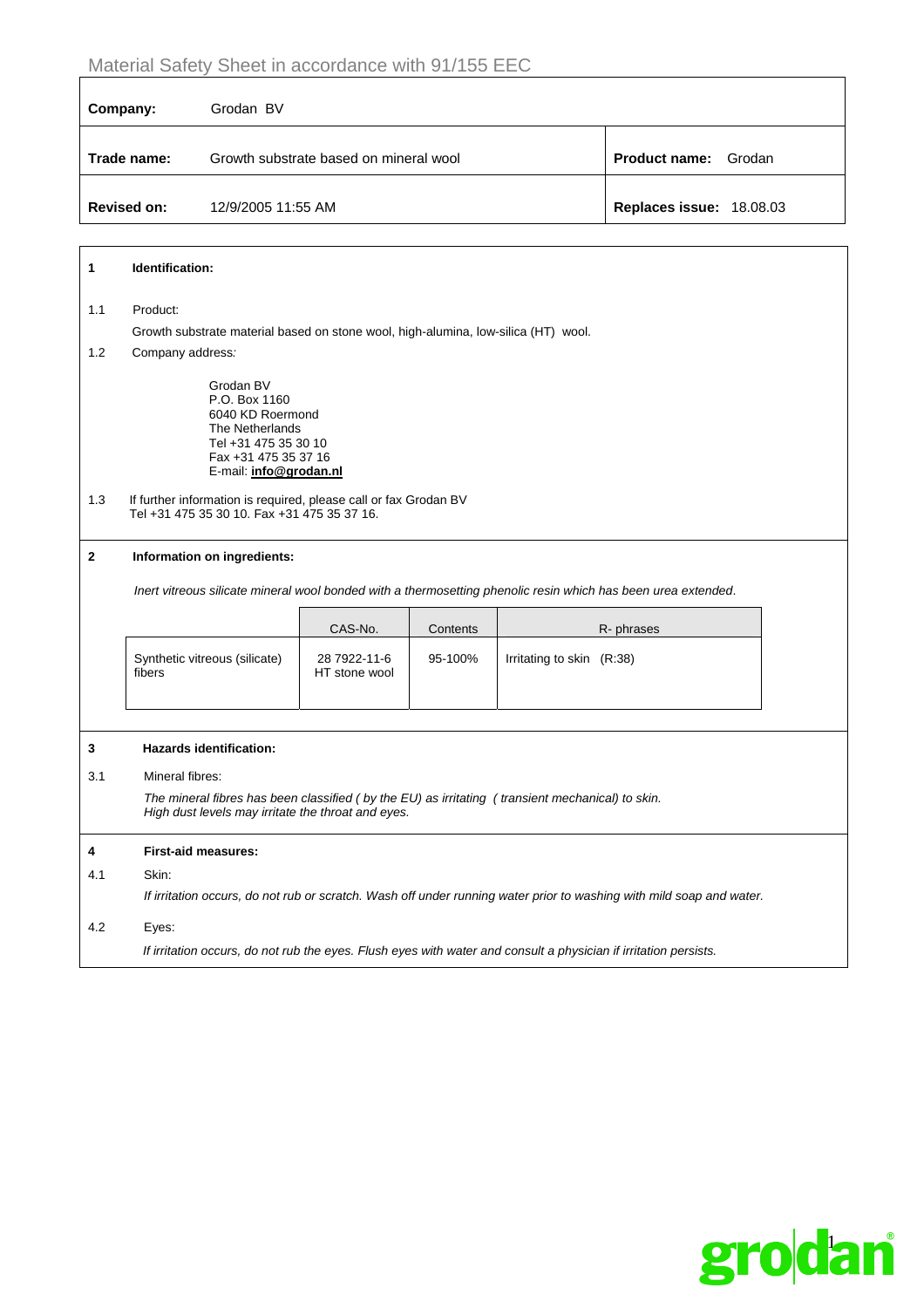| Company:           | Grodan BV                              |                                |
|--------------------|----------------------------------------|--------------------------------|
| Trade name:        | Growth substrate based on mineral wool | <b>Product name:</b><br>Grodan |
| <b>Revised on:</b> | 12/9/2005 11:55 AM                     | Replaces issue: 18.08.03       |

| 1            | Identification:                                                                                                                                        |                               |          |                                                                                                               |  |
|--------------|--------------------------------------------------------------------------------------------------------------------------------------------------------|-------------------------------|----------|---------------------------------------------------------------------------------------------------------------|--|
| 1.1          | Product:                                                                                                                                               |                               |          |                                                                                                               |  |
|              | Growth substrate material based on stone wool, high-alumina, low-silica (HT) wool.                                                                     |                               |          |                                                                                                               |  |
| 1.2          | Company address:                                                                                                                                       |                               |          |                                                                                                               |  |
|              | Grodan BV<br>P.O. Box 1160<br>6040 KD Roermond<br>The Netherlands<br>Tel +31 475 35 30 10<br>Fax +31 475 35 37 16<br>E-mail: info@grodan.nl            |                               |          |                                                                                                               |  |
| 1.3          | If further information is required, please call or fax Grodan BV<br>Tel +31 475 35 30 10. Fax +31 475 35 37 16.                                        |                               |          |                                                                                                               |  |
| $\mathbf{2}$ | Information on ingredients:                                                                                                                            |                               |          |                                                                                                               |  |
|              |                                                                                                                                                        |                               |          | Inert vitreous silicate mineral wool bonded with a thermosetting phenolic resin which has been urea extended. |  |
|              |                                                                                                                                                        | CAS-No.                       | Contents | R- phrases                                                                                                    |  |
|              | Synthetic vitreous (silicate)<br>fibers                                                                                                                | 28 7922-11-6<br>HT stone wool | 95-100%  | Irritating to skin (R:38)                                                                                     |  |
|              |                                                                                                                                                        |                               |          |                                                                                                               |  |
| 3            | <b>Hazards identification:</b>                                                                                                                         |                               |          |                                                                                                               |  |
| 3.1          | Mineral fibres:                                                                                                                                        |                               |          |                                                                                                               |  |
|              | The mineral fibres has been classified (by the EU) as irritating (transient mechanical) to skin.<br>High dust levels may irritate the throat and eyes. |                               |          |                                                                                                               |  |
| 4            | <b>First-aid measures:</b>                                                                                                                             |                               |          |                                                                                                               |  |
| 4.1          | Skin:                                                                                                                                                  |                               |          |                                                                                                               |  |
|              | If irritation occurs, do not rub or scratch. Wash off under running water prior to washing with mild soap and water.                                   |                               |          |                                                                                                               |  |
| 4.2          | Eyes:                                                                                                                                                  |                               |          |                                                                                                               |  |
|              | If irritation occurs, do not rub the eyes. Flush eyes with water and consult a physician if irritation persists.                                       |                               |          |                                                                                                               |  |

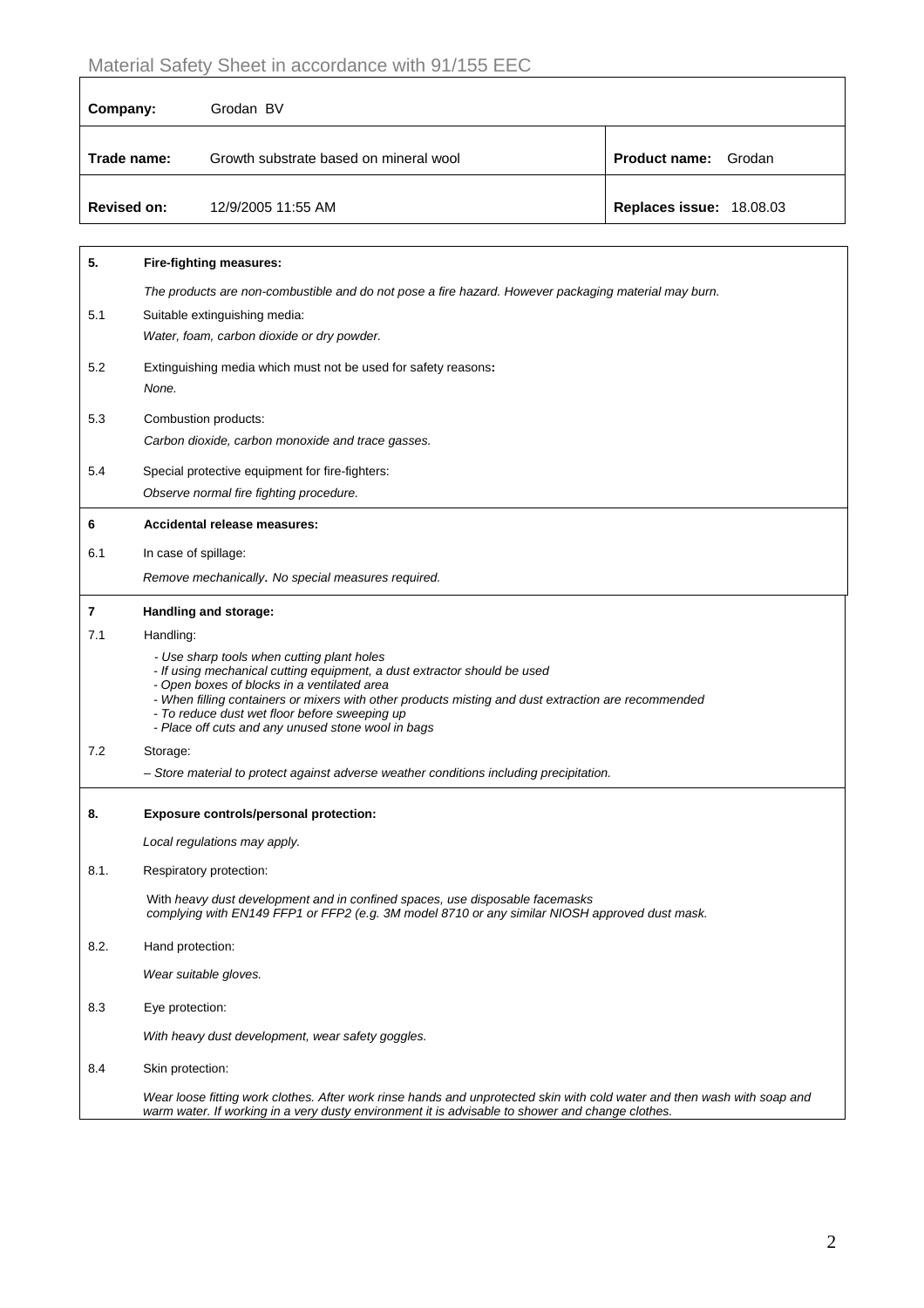| Company:           | Grodan BV                              |                             |
|--------------------|----------------------------------------|-----------------------------|
| Trade name:        | Growth substrate based on mineral wool | <b>Product name:</b> Grodan |
| <b>Revised on:</b> | 12/9/2005 11:55 AM                     | Replaces issue: 18.08.03    |

| 5.   | <b>Fire-fighting measures:</b>                                                                                                                                                                                                                                                                                                                                                      |
|------|-------------------------------------------------------------------------------------------------------------------------------------------------------------------------------------------------------------------------------------------------------------------------------------------------------------------------------------------------------------------------------------|
|      | The products are non-combustible and do not pose a fire hazard. However packaging material may burn.                                                                                                                                                                                                                                                                                |
| 5.1  | Suitable extinguishing media:                                                                                                                                                                                                                                                                                                                                                       |
|      | Water, foam, carbon dioxide or dry powder.                                                                                                                                                                                                                                                                                                                                          |
| 5.2  | Extinguishing media which must not be used for safety reasons:                                                                                                                                                                                                                                                                                                                      |
|      | None.                                                                                                                                                                                                                                                                                                                                                                               |
| 5.3  | Combustion products:                                                                                                                                                                                                                                                                                                                                                                |
|      | Carbon dioxide, carbon monoxide and trace gasses.                                                                                                                                                                                                                                                                                                                                   |
| 5.4  | Special protective equipment for fire-fighters:                                                                                                                                                                                                                                                                                                                                     |
|      | Observe normal fire fighting procedure.                                                                                                                                                                                                                                                                                                                                             |
| 6    | Accidental release measures:                                                                                                                                                                                                                                                                                                                                                        |
| 6.1  | In case of spillage:                                                                                                                                                                                                                                                                                                                                                                |
|      | Remove mechanically. No special measures required.                                                                                                                                                                                                                                                                                                                                  |
| 7    | Handling and storage:                                                                                                                                                                                                                                                                                                                                                               |
| 7.1  | Handling:                                                                                                                                                                                                                                                                                                                                                                           |
|      | - Use sharp tools when cutting plant holes<br>- If using mechanical cutting equipment, a dust extractor should be used<br>- Open boxes of blocks in a ventilated area<br>- When filling containers or mixers with other products misting and dust extraction are recommended<br>- To reduce dust wet floor before sweeping up<br>- Place off cuts and any unused stone wool in bags |
| 7.2  | Storage:                                                                                                                                                                                                                                                                                                                                                                            |
|      | - Store material to protect against adverse weather conditions including precipitation.                                                                                                                                                                                                                                                                                             |
|      |                                                                                                                                                                                                                                                                                                                                                                                     |
| 8.   | Exposure controls/personal protection:                                                                                                                                                                                                                                                                                                                                              |
|      | Local regulations may apply.                                                                                                                                                                                                                                                                                                                                                        |
| 8.1. | Respiratory protection:                                                                                                                                                                                                                                                                                                                                                             |
|      | With heavy dust development and in confined spaces, use disposable facemasks<br>complying with EN149 FFP1 or FFP2 (e.g. 3M model 8710 or any similar NIOSH approved dust mask.                                                                                                                                                                                                      |
| 8.2. | Hand protection:                                                                                                                                                                                                                                                                                                                                                                    |
|      | Wear suitable gloves.                                                                                                                                                                                                                                                                                                                                                               |
| 8.3  | Eye protection:                                                                                                                                                                                                                                                                                                                                                                     |
|      | With heavy dust development, wear safety goggles.                                                                                                                                                                                                                                                                                                                                   |
| 8.4  | Skin protection:                                                                                                                                                                                                                                                                                                                                                                    |
|      | Wear loose fitting work clothes. After work rinse hands and unprotected skin with cold water and then wash with soap and<br>warm water. If working in a very dusty environment it is advisable to shower and change clothes.                                                                                                                                                        |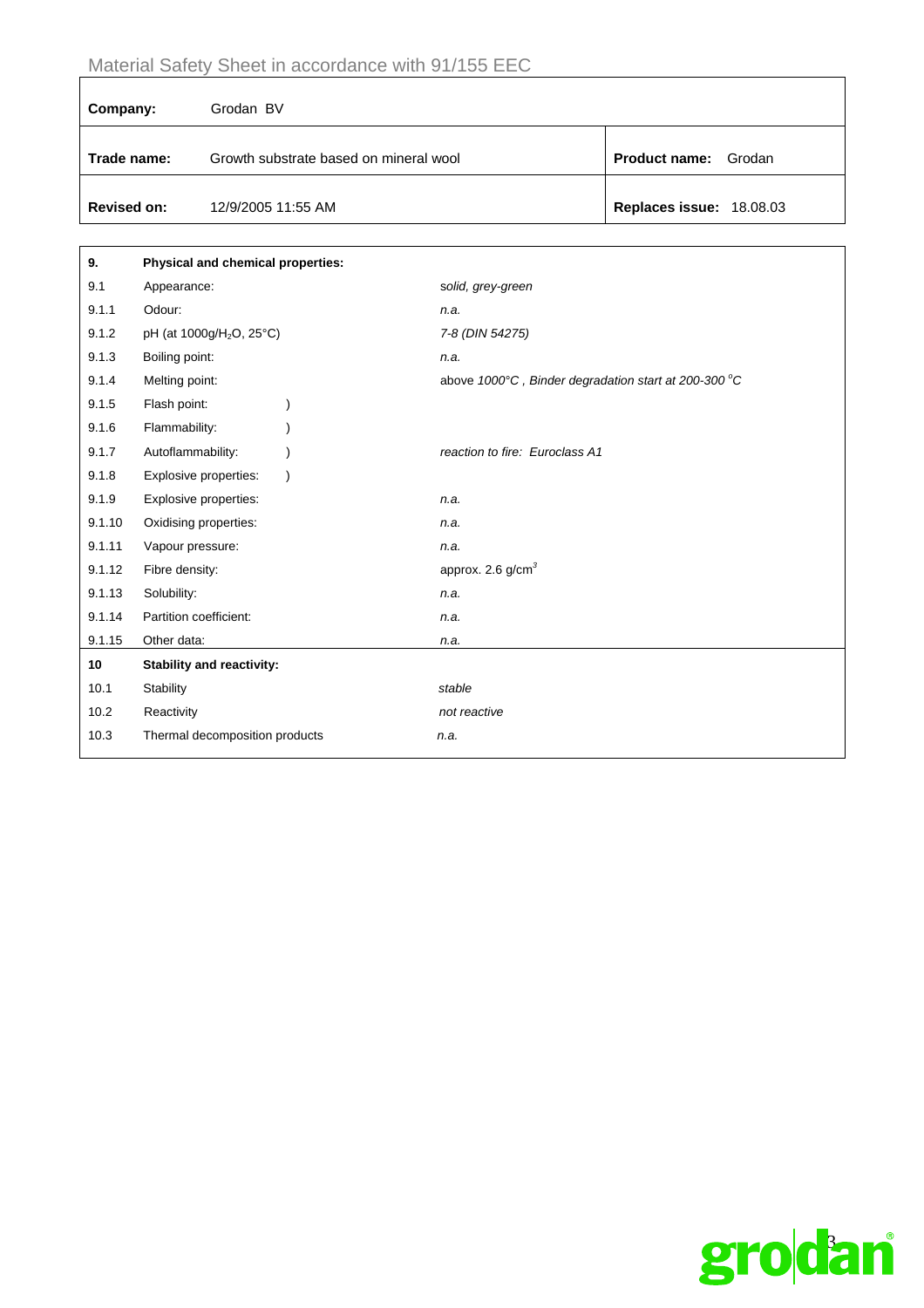| Company:           | Grodan BV                              |                                |
|--------------------|----------------------------------------|--------------------------------|
| Trade name:        | Growth substrate based on mineral wool | <b>Product name:</b><br>Grodan |
| <b>Revised on:</b> | 12/9/2005 11:55 AM                     | Replaces issue: 18.08.03       |

| 9.     | Physical and chemical properties:    |                                                     |
|--------|--------------------------------------|-----------------------------------------------------|
| 9.1    | Appearance:                          | solid, grey-green                                   |
| 9.1.1  | Odour:                               | n.a.                                                |
| 9.1.2  | pH (at 1000g/H <sub>2</sub> O, 25°C) | 7-8 (DIN 54275)                                     |
| 9.1.3  | Boiling point:                       | n.a.                                                |
| 9.1.4  | Melting point:                       | above 1000°C, Binder degradation start at 200-300°C |
| 9.1.5  | Flash point:                         |                                                     |
| 9.1.6  | Flammability:                        |                                                     |
| 9.1.7  | Autoflammability:                    | reaction to fire: Euroclass A1                      |
| 9.1.8  | Explosive properties:                |                                                     |
| 9.1.9  | Explosive properties:                | n.a.                                                |
| 9.1.10 | Oxidising properties:                | n.a.                                                |
| 9.1.11 | Vapour pressure:                     | n.a.                                                |
| 9.1.12 | Fibre density:                       | approx. 2.6 $g/cm3$                                 |
| 9.1.13 | Solubility:                          | n.a.                                                |
| 9.1.14 | Partition coefficient:               | n.a.                                                |
| 9.1.15 | Other data:                          | n.a.                                                |
| 10     | <b>Stability and reactivity:</b>     |                                                     |
| 10.1   | Stability                            | stable                                              |
| 10.2   | Reactivity                           | not reactive                                        |
| 10.3   | Thermal decomposition products       | n.a.                                                |
|        |                                      |                                                     |

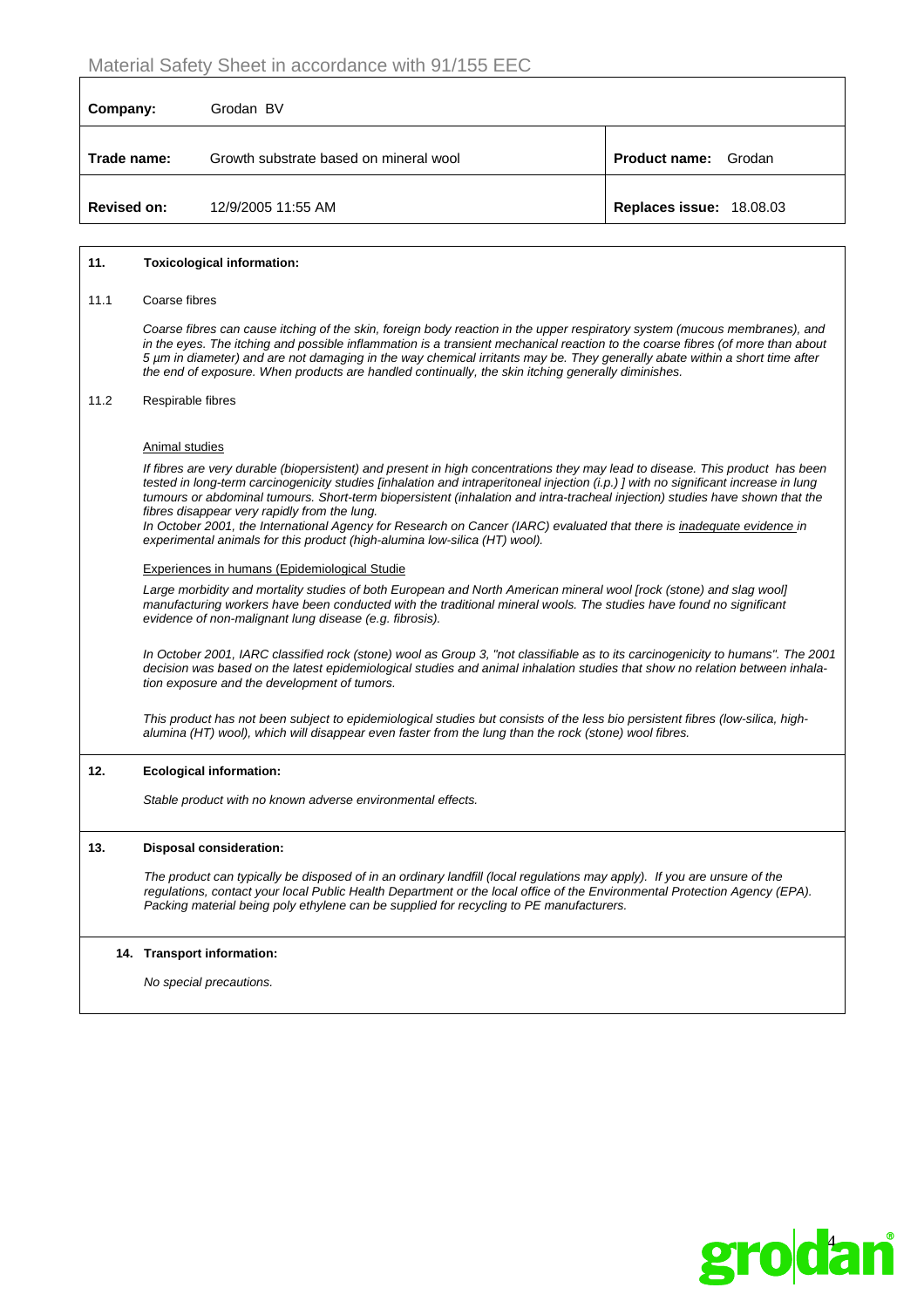| Company:           | Grodan BV                              |                                |
|--------------------|----------------------------------------|--------------------------------|
| Trade name:        | Growth substrate based on mineral wool | <b>Product name:</b><br>Grodan |
| <b>Revised on:</b> | 12/9/2005 11:55 AM                     | Replaces issue: 18.08.03       |

#### **11. Toxicological information:**

#### 11.1 Coarse fibres

*Coarse fibres can cause itching of the skin, foreign body reaction in the upper respiratory system (mucous membranes), and in the eyes. The itching and possible inflammation is a transient mechanical reaction to the coarse fibres (of more than about 5 µm in diameter) and are not damaging in the way chemical irritants may be. They generally abate within a short time after the end of exposure. When products are handled continually, the skin itching generally diminishes.* 

#### 11.2 Respirable fibres

#### Animal studies

*If fibres are very durable (biopersistent) and present in high concentrations they may lead to disease. This product has been tested in long-term carcinogenicity studies [inhalation and intraperitoneal injection (i.p.) ] with no significant increase in lung tumours or abdominal tumours. Short-term biopersistent (inhalation and intra-tracheal injection) studies have shown that the fibres disappear very rapidly from the lung.* 

*In October 2001, the International Agency for Research on Cancer (IARC) evaluated that there is inadequate evidence in experimental animals for this product (high-alumina low-silica (HT) wool).*

#### Experiences in humans (Epidemiological Studie

*Large morbidity and mortality studies of both European and North American mineral wool [rock (stone) and slag wool] manufacturing workers have been conducted with the traditional mineral wools. The studies have found no significant evidence of non-malignant lung disease (e.g. fibrosis).* 

*In October 2001, IARC classified rock (stone) wool as Group 3, "not classifiable as to its carcinogenicity to humans". The 2001 decision was based on the latest epidemiological studies and animal inhalation studies that show no relation between inhalation exposure and the development of tumors.* 

*This product has not been subject to epidemiological studies but consists of the less bio persistent fibres (low-silica, highalumina (HT) wool), which will disappear even faster from the lung than the rock (stone) wool fibres.* 

#### **12. Ecological information:**

 *Stable product with no known adverse environmental effects.* 

#### **13. Disposal consideration:**

*The product can typically be disposed of in an ordinary landfill (local regulations may apply). If you are unsure of the regulations, contact your local Public Health Department or the local office of the Environmental Protection Agency (EPA). Packing material being poly ethylene can be supplied for recycling to PE manufacturers.*

#### **14. Transport information:**

*No special precautions.*